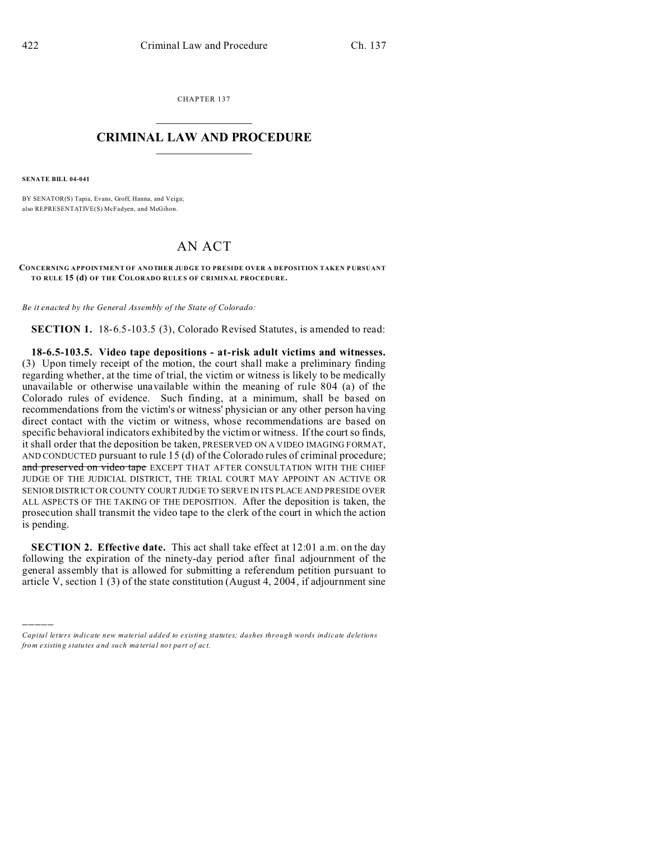CHAPTER 137  $\overline{\phantom{a}}$  , where  $\overline{\phantom{a}}$ 

## **CRIMINAL LAW AND PROCEDURE**  $\_$   $\_$   $\_$   $\_$   $\_$   $\_$   $\_$   $\_$   $\_$   $\_$

**SENATE BILL 04-041**

)))))

BY SENATOR(S) Tapia, Evans, Groff, Hanna, and Veiga; also REPRESENTATIVE(S) McFadyen, and McGihon.

## AN ACT

**CONCERNING APPOINTMENT OF ANOTHER JUDGE TO PRESIDE OVER A DEPOSITION TAKEN P URSUANT TO RULE 15 (d) OF THE COLORADO RULE S OF CRIMINAL PROCEDURE.**

*Be it enacted by the General Assembly of the State of Colorado:*

**SECTION 1.** 18-6.5-103.5 (3), Colorado Revised Statutes, is amended to read:

**18-6.5-103.5. Video tape depositions - at-risk adult victims and witnesses.** (3) Upon timely receipt of the motion, the court shall make a preliminary finding regarding whether, at the time of trial, the victim or witness is likely to be medically unavailable or otherwise unavailable within the meaning of rule 804 (a) of the Colorado rules of evidence. Such finding, at a minimum, shall be based on recommendations from the victim's or witness' physician or any other person having direct contact with the victim or witness, whose recommendations are based on specific behavioral indicators exhibited by the victim or witness. If the court so finds, it shall order that the deposition be taken, PRESERVED ON A VIDEO IMAGING FORMAT, AND CONDUCTED pursuant to rule 15 (d) of the Colorado rules of criminal procedure; and preserved on video tape EXCEPT THAT AFTER CONSULTATION WITH THE CHIEF JUDGE OF THE JUDICIAL DISTRICT, THE TRIAL COURT MAY APPOINT AN ACTIVE OR SENIOR DISTRICT OR COUNTY COURT JUDGE TO SERVE IN ITS PLACE AND PRESIDE OVER ALL ASPECTS OF THE TAKING OF THE DEPOSITION. After the deposition is taken, the prosecution shall transmit the video tape to the clerk of the court in which the action is pending.

**SECTION 2. Effective date.** This act shall take effect at 12:01 a.m. on the day following the expiration of the ninety-day period after final adjournment of the general assembly that is allowed for submitting a referendum petition pursuant to article V, section 1 (3) of the state constitution (August 4, 2004, if adjournment sine

*Capital letters indicate new material added to existing statutes; dashes through words indicate deletions from e xistin g statu tes a nd such ma teria l no t pa rt of ac t.*